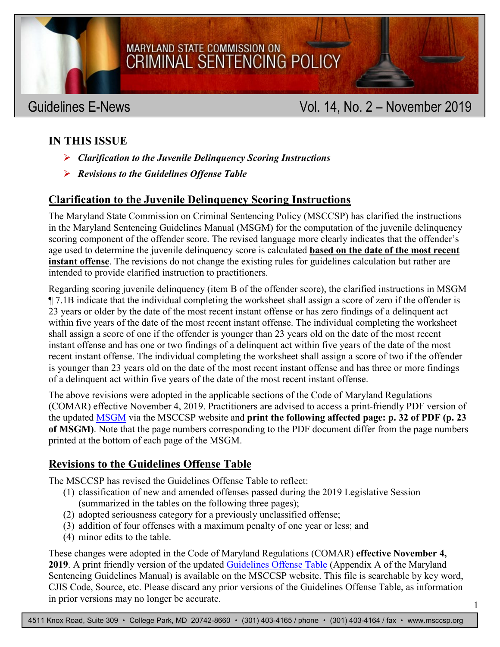

# **IN THIS ISSUE**

- *Clarification to the Juvenile Delinquency Scoring Instructions*
- *Revisions to the Guidelines Offense Table*

## **Clarification to the Juvenile Delinquency Scoring Instructions**

The Maryland State Commission on Criminal Sentencing Policy (MSCCSP) has clarified the instructions in the Maryland Sentencing Guidelines Manual (MSGM) for the computation of the juvenile delinquency scoring component of the offender score. The revised language more clearly indicates that the offender's age used to determine the juvenile delinquency score is calculated **based on the date of the most recent instant offense**. The revisions do not change the existing rules for guidelines calculation but rather are intended to provide clarified instruction to practitioners.

Regarding scoring juvenile delinquency (item B of the offender score), the clarified instructions in MSGM ¶ 7.1B indicate that the individual completing the worksheet shall assign a score of zero if the offender is 23 years or older by the date of the most recent instant offense or has zero findings of a delinquent act within five years of the date of the most recent instant offense. The individual completing the worksheet shall assign a score of one if the offender is younger than 23 years old on the date of the most recent instant offense and has one or two findings of a delinquent act within five years of the date of the most recent instant offense. The individual completing the worksheet shall assign a score of two if the offender is younger than 23 years old on the date of the most recent instant offense and has three or more findings of a delinquent act within five years of the date of the most recent instant offense.

The above revisions were adopted in the applicable sections of the Code of Maryland Regulations (COMAR) effective November 4, 2019. Practitioners are advised to access a print-friendly PDF version of the updated [MSGM](http://msccsp.org/Files/Guidelines/MSGM/guidelinesmanual.pdf) via the MSCCSP website and **print the following affected page: p. 32 of PDF (p. 23 of MSGM)**. Note that the page numbers corresponding to the PDF document differ from the page numbers printed at the bottom of each page of the MSGM.

## **Revisions to the Guidelines Offense Table**

The MSCCSP has revised the Guidelines Offense Table to reflect:

- (1) classification of new and amended offenses passed during the 2019 Legislative Session (summarized in the tables on the following three pages);
- (2) adopted seriousness category for a previously unclassified offense;
- (3) addition of four offenses with a maximum penalty of one year or less; and
- (4) minor edits to the table.

These changes were adopted in the Code of Maryland Regulations (COMAR) **effective November 4, 2019**. A print friendly version of the updated [Guidelines Offense Table](http://www.msccsp.org/Files/Guidelines/offensetable.pdf) (Appendix A of the Maryland Sentencing Guidelines Manual) is available on the MSCCSP website. This file is searchable by key word, CJIS Code, Source, etc. Please discard any prior versions of the Guidelines Offense Table, as information in prior versions may no longer be accurate.

1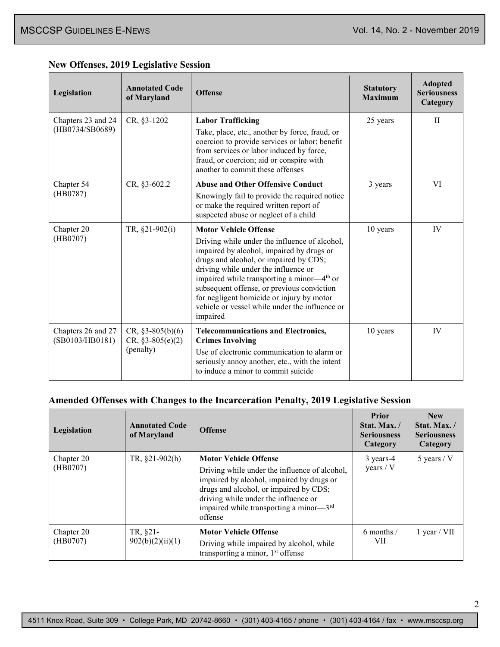| Legislation                           | <b>Annotated Code</b><br>of Maryland                  | <b>Offense</b>                                                                                                                                                                                                                                                                                                                                                                                                                  | <b>Statutory</b><br><b>Maximum</b> | <b>Adopted</b><br><b>Seriousness</b><br>Category |
|---------------------------------------|-------------------------------------------------------|---------------------------------------------------------------------------------------------------------------------------------------------------------------------------------------------------------------------------------------------------------------------------------------------------------------------------------------------------------------------------------------------------------------------------------|------------------------------------|--------------------------------------------------|
| Chapters 23 and 24<br>(HB0734/SB0689) | CR, §3-1202                                           | <b>Labor Trafficking</b><br>Take, place, etc., another by force, fraud, or<br>coercion to provide services or labor; benefit<br>from services or labor induced by force,<br>fraud, or coercion; aid or conspire with<br>another to commit these offenses                                                                                                                                                                        | 25 years                           | $\mathbf{I}$                                     |
| Chapter 54<br>(HB0787)                | CR, §3-602.2                                          | <b>Abuse and Other Offensive Conduct</b><br>Knowingly fail to provide the required notice<br>or make the required written report of<br>suspected abuse or neglect of a child                                                                                                                                                                                                                                                    | 3 years                            | VI                                               |
| Chapter 20<br>(HB0707)                | TR, §21-902(i)                                        | <b>Motor Vehicle Offense</b><br>Driving while under the influence of alcohol,<br>impaired by alcohol, impaired by drugs or<br>drugs and alcohol, or impaired by CDS;<br>driving while under the influence or<br>impaired while transporting a minor-4 <sup>th</sup> or<br>subsequent offense, or previous conviction<br>for negligent homicide or injury by motor<br>vehicle or vessel while under the influence or<br>impaired | 10 years                           | IV                                               |
| Chapters 26 and 27<br>(SB0103/HB0181) | $CR, §3-805(b)(6)$<br>$CR, §3-805(e)(2)$<br>(penalty) | <b>Telecommunications and Electronics,</b><br><b>Crimes Involving</b><br>Use of electronic communication to alarm or<br>seriously annoy another, etc., with the intent<br>to induce a minor to commit suicide                                                                                                                                                                                                                   | 10 years                           | IV                                               |

### **New Offenses, 2019 Legislative Session**

### **Amended Offenses with Changes to the Incarceration Penalty, 2019 Legislative Session**

| Legislation            | <b>Annotated Code</b><br>of Maryland | <b>Offense</b>                                                                                                                                                                                                                                                                 | <b>Prior</b><br>Stat. Max. /<br><b>Seriousness</b><br>Category | <b>New</b><br>Stat. Max. /<br><b>Seriousness</b><br>Category |
|------------------------|--------------------------------------|--------------------------------------------------------------------------------------------------------------------------------------------------------------------------------------------------------------------------------------------------------------------------------|----------------------------------------------------------------|--------------------------------------------------------------|
| Chapter 20<br>(HB0707) | TR, $§21-902(h)$                     | <b>Motor Vehicle Offense</b><br>Driving while under the influence of alcohol,<br>impaired by alcohol, impaired by drugs or<br>drugs and alcohol, or impaired by CDS;<br>driving while under the influence or<br>impaired while transporting a minor-3 <sup>rd</sup><br>offense | 3 years-4<br>years / V                                         | $5$ years / V                                                |
| Chapter 20<br>(HB0707) | TR, §21-<br>902(b)(2)(ii)(1)         | <b>Motor Vehicle Offense</b><br>Driving while impaired by alcohol, while<br>transporting a minor, 1 <sup>st</sup> offense                                                                                                                                                      | $6$ months $/$<br>VII                                          | $1$ year / VII                                               |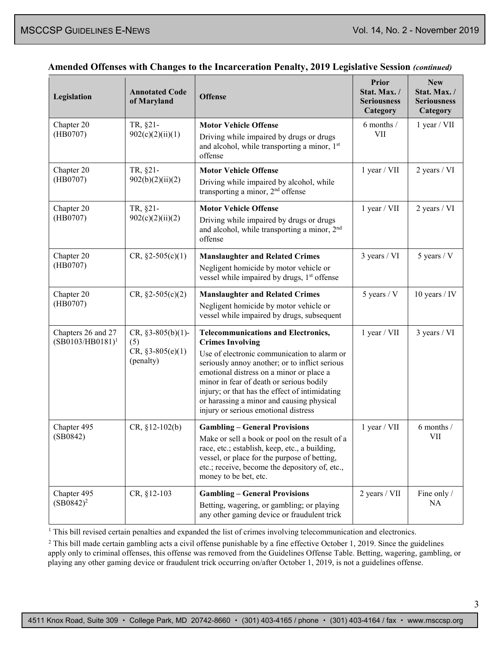#### **Amended Offenses with Changes to the Incarceration Penalty, 2019 Legislative Session** *(continued)*

| Legislation                               | <b>Annotated Code</b><br>of Maryland                           | <b>Offense</b>                                                                                                                                                                                                                                                                                                                                                                                        | <b>Prior</b><br>Stat. Max./<br><b>Seriousness</b><br>Category | <b>New</b><br>Stat. Max./<br><b>Seriousness</b><br>Category |
|-------------------------------------------|----------------------------------------------------------------|-------------------------------------------------------------------------------------------------------------------------------------------------------------------------------------------------------------------------------------------------------------------------------------------------------------------------------------------------------------------------------------------------------|---------------------------------------------------------------|-------------------------------------------------------------|
| Chapter 20<br>(HB0707)                    | TR, §21-<br>902(c)(2)(ii)(1)                                   | <b>Motor Vehicle Offense</b><br>Driving while impaired by drugs or drugs<br>and alcohol, while transporting a minor, 1st<br>offense                                                                                                                                                                                                                                                                   | 6 months /<br>VII                                             | $1$ year / VII                                              |
| Chapter 20<br>(HB0707)                    | TR, §21-<br>902(b)(2)(ii)(2)                                   | <b>Motor Vehicle Offense</b><br>Driving while impaired by alcohol, while<br>transporting a minor, $2nd$ offense                                                                                                                                                                                                                                                                                       | 1 year / VII                                                  | 2 years / VI                                                |
| Chapter 20<br>(HB0707)                    | TR, §21-<br>902(c)(2)(ii)(2)                                   | <b>Motor Vehicle Offense</b><br>Driving while impaired by drugs or drugs<br>and alcohol, while transporting a minor, 2 <sup>nd</sup><br>offense                                                                                                                                                                                                                                                       | 1 year / VII                                                  | 2 years / VI                                                |
| Chapter 20<br>(HB0707)                    | CR, $\S2 - 505(c)(1)$                                          | <b>Manslaughter and Related Crimes</b><br>Negligent homicide by motor vehicle or<br>vessel while impaired by drugs, 1 <sup>st</sup> offense                                                                                                                                                                                                                                                           | 3 years / VI                                                  | $5$ years / V                                               |
| Chapter 20<br>(HB0707)                    | CR, $\S2 - 505(c)(2)$                                          | <b>Manslaughter and Related Crimes</b><br>Negligent homicide by motor vehicle or<br>vessel while impaired by drugs, subsequent                                                                                                                                                                                                                                                                        | 5 years $/ V$                                                 | 10 years / IV                                               |
| Chapters 26 and 27<br>$(SB0103/HB0181)^1$ | CR, $§3-805(b)(1)$ -<br>(5)<br>CR, $§3-805(e)(1)$<br>(penalty) | <b>Telecommunications and Electronics,</b><br><b>Crimes Involving</b><br>Use of electronic communication to alarm or<br>seriously annoy another; or to inflict serious<br>emotional distress on a minor or place a<br>minor in fear of death or serious bodily<br>injury; or that has the effect of intimidating<br>or harassing a minor and causing physical<br>injury or serious emotional distress | 1 year / VII                                                  | 3 years / VI                                                |
| Chapter 495<br>(SB0842)                   | $CR, §12-102(b)$                                               | <b>Gambling - General Provisions</b><br>Make or sell a book or pool on the result of a<br>race, etc.; establish, keep, etc., a building,<br>vessel, or place for the purpose of betting,<br>etc.; receive, become the depository of, etc.,<br>money to be bet, etc.                                                                                                                                   | $1$ year / VII                                                | 6 months /<br><b>VII</b>                                    |
| Chapter 495<br>$(SB0842)^2$               | CR, §12-103                                                    | <b>Gambling - General Provisions</b><br>Betting, wagering, or gambling; or playing<br>any other gaming device or fraudulent trick                                                                                                                                                                                                                                                                     | 2 years / VII                                                 | Fine only /<br>NA                                           |

<sup>1</sup> This bill revised certain penalties and expanded the list of crimes involving telecommunication and electronics.

<sup>2</sup> This bill made certain gambling acts a civil offense punishable by a fine effective October 1, 2019. Since the guidelines apply only to criminal offenses, this offense was removed from the Guidelines Offense Table. Betting, wagering, gambling, or playing any other gaming device or fraudulent trick occurring on/after October 1, 2019, is not a guidelines offense.